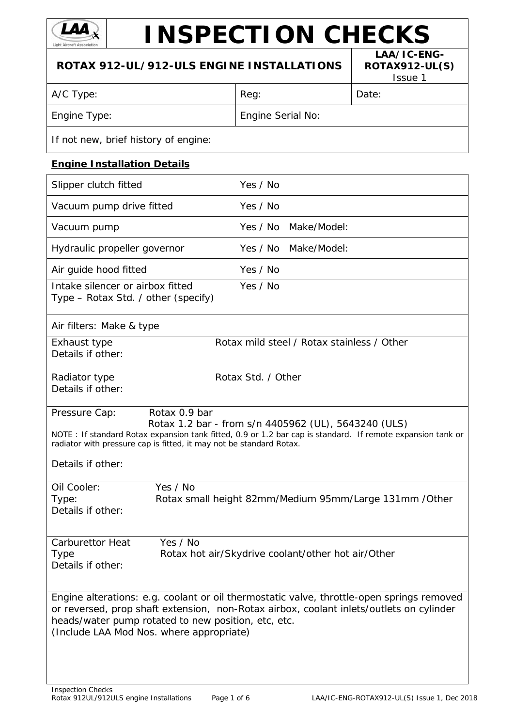

# **INSPECTION CHECKS**

| ROTAX 912-UL/912-ULS ENGINE INSTALLATIONS                                                                                                                                                                                                                                               | LAA/IC-ENG-<br><b>ROTAX912-UL(S)</b><br>Issue 1         |       |
|-----------------------------------------------------------------------------------------------------------------------------------------------------------------------------------------------------------------------------------------------------------------------------------------|---------------------------------------------------------|-------|
| A/C Type:                                                                                                                                                                                                                                                                               | Reg:                                                    | Date: |
| Engine Type:                                                                                                                                                                                                                                                                            | Engine Serial No:                                       |       |
| If not new, brief history of engine:                                                                                                                                                                                                                                                    |                                                         |       |
| <b>Engine Installation Details</b>                                                                                                                                                                                                                                                      |                                                         |       |
| Slipper clutch fitted                                                                                                                                                                                                                                                                   | Yes / No                                                |       |
| Vacuum pump drive fitted                                                                                                                                                                                                                                                                | Yes / No                                                |       |
| Vacuum pump                                                                                                                                                                                                                                                                             | Yes / No Make/Model:                                    |       |
| Hydraulic propeller governor                                                                                                                                                                                                                                                            | Yes / No Make/Model:                                    |       |
| Air guide hood fitted                                                                                                                                                                                                                                                                   | Yes / No                                                |       |
| Intake silencer or airbox fitted<br>Type - Rotax Std. / other (specify)                                                                                                                                                                                                                 | Yes / No                                                |       |
| Air filters: Make & type                                                                                                                                                                                                                                                                |                                                         |       |
| Exhaust type<br>Details if other:                                                                                                                                                                                                                                                       | Rotax mild steel / Rotax stainless / Other              |       |
| Radiator type<br>Details if other:                                                                                                                                                                                                                                                      | Rotax Std. / Other                                      |       |
| Rotax 0.9 bar<br>Pressure Cap:<br>NOTE: If standard Rotax expansion tank fitted, 0.9 or 1.2 bar cap is standard. If remote expansion tank or<br>radiator with pressure cap is fitted, it may not be standard Rotax.<br>Details if other:                                                | Rotax 1.2 bar - from s/n 4405962 (UL), 5643240 (ULS)    |       |
| Yes / No<br>Oil Cooler:<br>Type:<br>Details if other:                                                                                                                                                                                                                                   | Rotax small height 82mm/Medium 95mm/Large 131mm / Other |       |
| Yes / No<br><b>Carburettor Heat</b><br><b>Type</b><br>Details if other:                                                                                                                                                                                                                 | Rotax hot air/Skydrive coolant/other hot air/Other      |       |
| Engine alterations: e.g. coolant or oil thermostatic valve, throttle-open springs removed<br>or reversed, prop shaft extension, non-Rotax airbox, coolant inlets/outlets on cylinder<br>heads/water pump rotated to new position, etc, etc.<br>(Include LAA Mod Nos. where appropriate) |                                                         |       |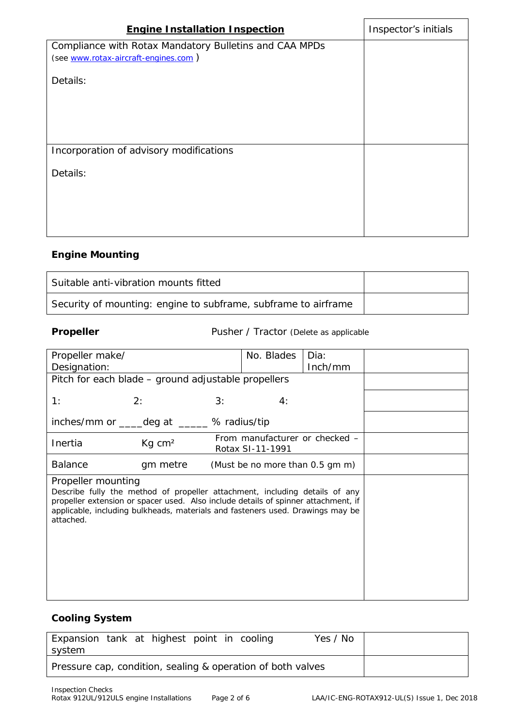| <b>Engine Installation Inspection</b>                  | Inspector's initials |
|--------------------------------------------------------|----------------------|
| Compliance with Rotax Mandatory Bulletins and CAA MPDs |                      |
| (see www.rotax-aircraft-engines.com)                   |                      |
| Details:                                               |                      |
|                                                        |                      |
|                                                        |                      |
|                                                        |                      |
| Incorporation of advisory modifications                |                      |
| Details:                                               |                      |
|                                                        |                      |
|                                                        |                      |
|                                                        |                      |

# **Engine Mounting**

| Suitable anti-vibration mounts fitted                          |  |
|----------------------------------------------------------------|--|
| Security of mounting: engine to subframe, subframe to airframe |  |

**Propeller** Pusher / Tractor (Delete as applicable

| Propeller make/<br>Designation: |                                                                                                                                                                                                                                                     | No. Blades                                         |    | Dia:<br>Inch/mm |  |
|---------------------------------|-----------------------------------------------------------------------------------------------------------------------------------------------------------------------------------------------------------------------------------------------------|----------------------------------------------------|----|-----------------|--|
|                                 | Pitch for each blade - ground adjustable propellers                                                                                                                                                                                                 |                                                    |    |                 |  |
| 1:                              | 2:                                                                                                                                                                                                                                                  | 3:                                                 | 4: |                 |  |
|                                 | inches/mm or _____deg at ______ % radius/tip                                                                                                                                                                                                        |                                                    |    |                 |  |
| Inertia                         | $Kq$ cm <sup>2</sup>                                                                                                                                                                                                                                | From manufacturer or checked –<br>Rotax SI-11-1991 |    |                 |  |
| <b>Balance</b>                  | gm metre                                                                                                                                                                                                                                            | (Must be no more than 0.5 gm m)                    |    |                 |  |
| Propeller mounting<br>attached. | Describe fully the method of propeller attachment, including details of any<br>propeller extension or spacer used. Also include details of spinner attachment, if<br>applicable, including bulkheads, materials and fasteners used. Drawings may be |                                                    |    |                 |  |

# **Cooling System**

| Expansion tank at highest point in cooling<br>system        |  |  |  | Yes / No |  |
|-------------------------------------------------------------|--|--|--|----------|--|
| Pressure cap, condition, sealing & operation of both valves |  |  |  |          |  |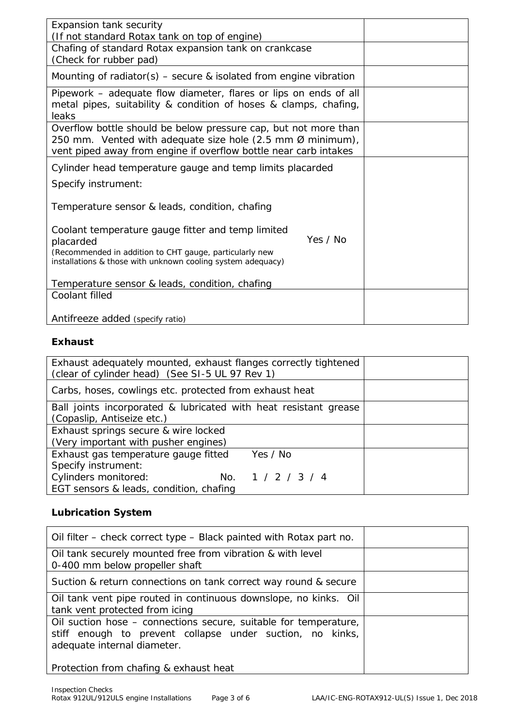| Expansion tank security                                                                                                                                                                                     |  |
|-------------------------------------------------------------------------------------------------------------------------------------------------------------------------------------------------------------|--|
| (If not standard Rotax tank on top of engine)                                                                                                                                                               |  |
| Chafing of standard Rotax expansion tank on crankcase                                                                                                                                                       |  |
| (Check for rubber pad)                                                                                                                                                                                      |  |
| Mounting of radiator(s) $-$ secure & isolated from engine vibration                                                                                                                                         |  |
| Pipework - adequate flow diameter, flares or lips on ends of all<br>metal pipes, suitability & condition of hoses & clamps, chafing,<br>leaks                                                               |  |
| Overflow bottle should be below pressure cap, but not more than<br>250 mm. Vented with adequate size hole (2.5 mm $\emptyset$ minimum),<br>vent piped away from engine if overflow bottle near carb intakes |  |
| Cylinder head temperature gauge and temp limits placarded                                                                                                                                                   |  |
| Specify instrument:                                                                                                                                                                                         |  |
| Temperature sensor & leads, condition, chafing                                                                                                                                                              |  |
| Coolant temperature gauge fitter and temp limited<br>Yes / No<br>placarded<br>(Recommended in addition to CHT gauge, particularly new<br>installations & those with unknown cooling system adequacy)        |  |
| Temperature sensor & leads, condition, chafing                                                                                                                                                              |  |
| Coolant filled                                                                                                                                                                                              |  |
| Antifreeze added (specify ratio)                                                                                                                                                                            |  |

### **Exhaust**

| Exhaust adequately mounted, exhaust flanges correctly tightened<br>(clear of cylinder head) (See SI-5 UL 97 Rev 1) |  |
|--------------------------------------------------------------------------------------------------------------------|--|
| Carbs, hoses, cowlings etc. protected from exhaust heat                                                            |  |
| Ball joints incorporated & lubricated with heat resistant grease                                                   |  |
| (Copaslip, Antiseize etc.)                                                                                         |  |
| Exhaust springs secure & wire locked                                                                               |  |
| (Very important with pusher engines)                                                                               |  |
| Exhaust gas temperature gauge fitted<br>Yes / No                                                                   |  |
| Specify instrument:                                                                                                |  |
| Cylinders monitored:<br>No. $1 / 2 / 3 / 4$                                                                        |  |
| EGT sensors & leads, condition, chafing                                                                            |  |

# **Lubrication System**

| Oil filter – check correct type – Black painted with Rotax part no.                                                                                          |  |
|--------------------------------------------------------------------------------------------------------------------------------------------------------------|--|
| Oil tank securely mounted free from vibration & with level<br>0-400 mm below propeller shaft                                                                 |  |
| Suction & return connections on tank correct way round & secure                                                                                              |  |
| Oil tank vent pipe routed in continuous downslope, no kinks. Oil<br>tank vent protected from icing                                                           |  |
| Oil suction hose - connections secure, suitable for temperature,<br>stiff enough to prevent collapse under suction, no kinks,<br>adequate internal diameter. |  |
| Protection from chafing & exhaust heat                                                                                                                       |  |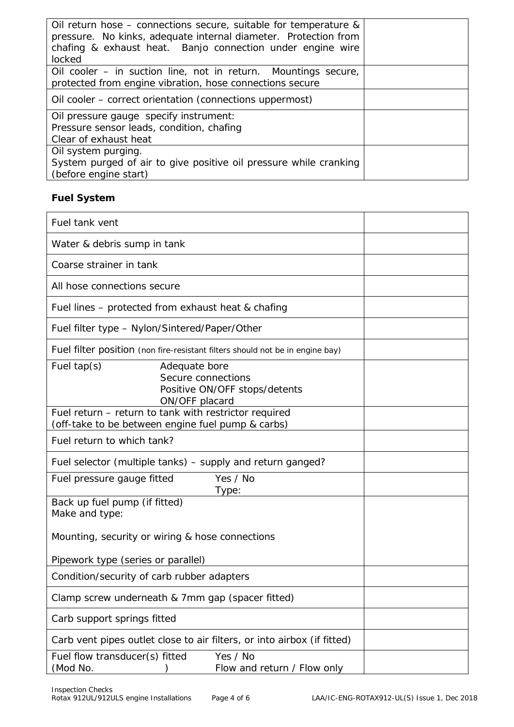| Oil return hose – connections secure, suitable for temperature &<br>pressure. No kinks, adequate internal diameter. Protection from<br>chafing & exhaust heat. Banjo connection under engine wire<br>locked |  |
|-------------------------------------------------------------------------------------------------------------------------------------------------------------------------------------------------------------|--|
| Oil cooler – in suction line, not in return. Mountings secure,<br>protected from engine vibration, hose connections secure                                                                                  |  |
| Oil cooler – correct orientation (connections uppermost)                                                                                                                                                    |  |
| Oil pressure gauge specify instrument:<br>Pressure sensor leads, condition, chafing<br>Clear of exhaust heat                                                                                                |  |
| Oil system purging.<br>System purged of air to give positive oil pressure while cranking<br>(before engine start)                                                                                           |  |

# **Fuel System**

| Fuel tank vent                                                                                             |
|------------------------------------------------------------------------------------------------------------|
| Water & debris sump in tank                                                                                |
| Coarse strainer in tank                                                                                    |
| All hose connections secure                                                                                |
| Fuel lines – protected from exhaust heat & chafing                                                         |
| Fuel filter type - Nylon/Sintered/Paper/Other                                                              |
| Fuel filter position (non fire-resistant filters should not be in engine bay)                              |
| Fuel $tan(s)$<br>Adequate bore<br>Secure connections<br>Positive ON/OFF stops/detents<br>ON/OFF placard    |
| Fuel return – return to tank with restrictor required<br>(off-take to be between engine fuel pump & carbs) |
| Fuel return to which tank?                                                                                 |
| Fuel selector (multiple tanks) – supply and return ganged?                                                 |
| Yes / No<br>Fuel pressure gauge fitted<br>Type:                                                            |
| Back up fuel pump (if fitted)<br>Make and type:                                                            |
| Mounting, security or wiring & hose connections                                                            |
| Pipework type (series or parallel)                                                                         |
| Condition/security of carb rubber adapters                                                                 |
| Clamp screw underneath & 7mm gap (spacer fitted)                                                           |
| Carb support springs fitted                                                                                |
| Carb vent pipes outlet close to air filters, or into airbox (if fitted)                                    |
| Yes / No<br>Fuel flow transducer(s) fitted<br>(Mod No.<br>Flow and return / Flow only                      |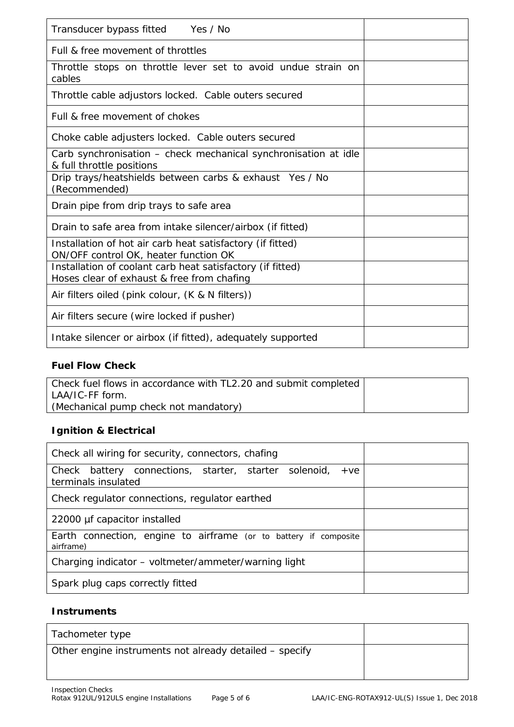| Transducer bypass fitted Yes / No                                                                        |  |
|----------------------------------------------------------------------------------------------------------|--|
| Full & free movement of throttles                                                                        |  |
| Throttle stops on throttle lever set to avoid undue strain on<br>cables                                  |  |
| Throttle cable adjustors locked. Cable outers secured                                                    |  |
| Full & free movement of chokes                                                                           |  |
| Choke cable adjusters locked. Cable outers secured                                                       |  |
| Carb synchronisation - check mechanical synchronisation at idle<br>& full throttle positions             |  |
| Drip trays/heatshields between carbs & exhaust Yes / No<br>(Recommended)                                 |  |
| Drain pipe from drip trays to safe area                                                                  |  |
| Drain to safe area from intake silencer/airbox (if fitted)                                               |  |
| Installation of hot air carb heat satisfactory (if fitted)<br>ON/OFF control OK, heater function OK      |  |
| Installation of coolant carb heat satisfactory (if fitted)<br>Hoses clear of exhaust & free from chafing |  |
| Air filters oiled (pink colour, (K & N filters))                                                         |  |
| Air filters secure (wire locked if pusher)                                                               |  |
| Intake silencer or airbox (if fitted), adequately supported                                              |  |

# **Fuel Flow Check**

| Check fuel flows in accordance with TL2.20 and submit completed |  |
|-----------------------------------------------------------------|--|
| LAA/IC-FF form.                                                 |  |
| (Mechanical pump check not mandatory)                           |  |

# **Ignition & Electrical**

| Check all wiring for security, connectors, chafing                                    |  |
|---------------------------------------------------------------------------------------|--|
| Check battery connections, starter, starter solenoid,<br>$+ve$<br>terminals insulated |  |
| Check regulator connections, regulator earthed                                        |  |
| 22000 µf capacitor installed                                                          |  |
| Earth connection, engine to airframe (or to battery if composite<br>airframe)         |  |
| Charging indicator – voltmeter/ammeter/warning light                                  |  |
| Spark plug caps correctly fitted                                                      |  |

# **Instruments**

| Tachometer type                                         |  |
|---------------------------------------------------------|--|
| Other engine instruments not already detailed – specify |  |